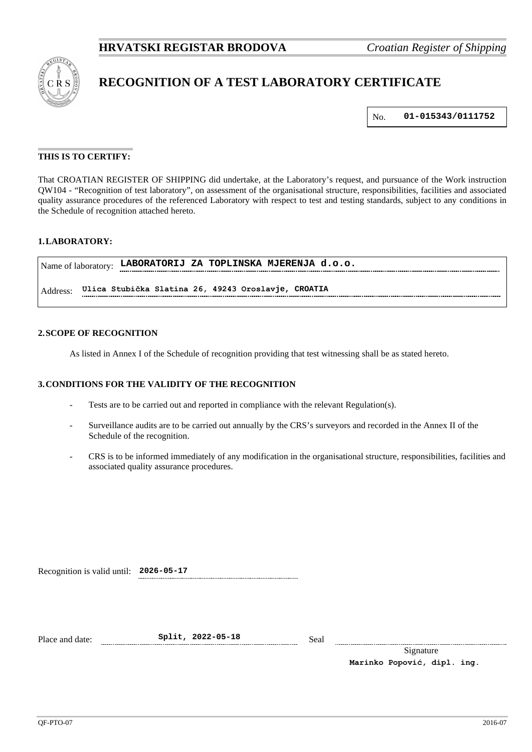

# **RECOGNITION OF A TEST LABORATORY CERTIFICATE**

No. **01-015343/0111752**

# **THIS IS TO CERTIFY:**

That CROATIAN REGISTER OF SHIPPING did undertake, at the Laboratory's request, and pursuance of the Work instruction QW104 - "Recognition of test laboratory", on assessment of the organisational structure, responsibilities, facilities and associated quality assurance procedures of the referenced Laboratory with respect to test and testing standards, subject to any conditions in the Schedule of recognition attached hereto.

# **1.LABORATORY:**

Name of laboratory: **LABORATORIJ ZA TOPLINSKA MJERENJA d.o.o.** Address: **Ulica Stubička Slatina 26, 49243 Oroslavje, CROATIA**

#### **2.SCOPE OF RECOGNITION**

As listed in Annex I of the Schedule of recognition providing that test witnessing shall be as stated hereto.

# **3.CONDITIONS FOR THE VALIDITY OF THE RECOGNITION**

- Tests are to be carried out and reported in compliance with the relevant Regulation(s).
- Surveillance audits are to be carried out annually by the CRS's surveyors and recorded in the Annex II of the Schedule of the recognition.
- CRS is to be informed immediately of any modification in the organisational structure, responsibilities, facilities and associated quality assurance procedures.

Recognition is valid until: **2026-05-17**

Place and date: **Split, 2022-05-18** Seal

Signature **Marinko Popović, dipl. ing.**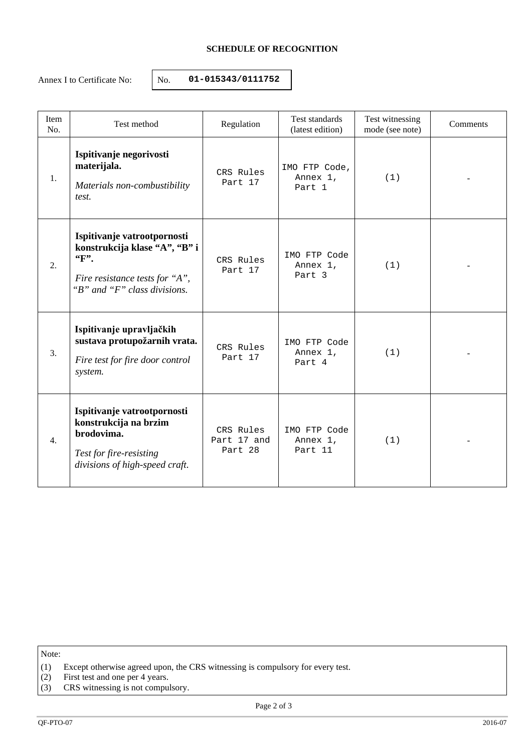# **SCHEDULE OF RECOGNITION**

Annex I to Certificate No:  $\vert$  No. **01-015343/0111752** 

| Item<br>No. | Test method                                                                                                                             | Regulation                          | Test standards<br>(latest edition)  | Test witnessing<br>mode (see note) | Comments |
|-------------|-----------------------------------------------------------------------------------------------------------------------------------------|-------------------------------------|-------------------------------------|------------------------------------|----------|
| 1.          | Ispitivanje negorivosti<br>materijala.<br>Materials non-combustibility<br>test.                                                         | CRS Rules<br>Part 17                | IMO FTP Code,<br>Annex 1,<br>Part 1 | (1)                                |          |
| 2.          | Ispitivanje vatrootpornosti<br>konstrukcija klase "A", "B" i<br>$F$ .<br>Fire resistance tests for "A",<br>"B" and "F" class divisions. | CRS Rules<br>Part 17                | IMO FTP Code<br>Annex 1,<br>Part 3  | (1)                                |          |
| 3.          | Ispitivanje upravljačkih<br>sustava protupožarnih vrata.<br>Fire test for fire door control<br>system.                                  | CRS Rules<br>Part 17                | IMO FTP Code<br>Annex 1,<br>Part 4  | (1)                                |          |
| 4.          | Ispitivanje vatrootpornosti<br>konstrukcija na brzim<br>brodovima.<br>Test for fire-resisting<br>divisions of high-speed craft.         | CRS Rules<br>Part 17 and<br>Part 28 | IMO FTP Code<br>Annex 1,<br>Part 11 | (1)                                |          |

Note:

- (1) Except otherwise agreed upon, the CRS witnessing is compulsory for every test.
- (2) First test and one per 4 years.
- (3) CRS witnessing is not compulsory.

Page 2 of 3